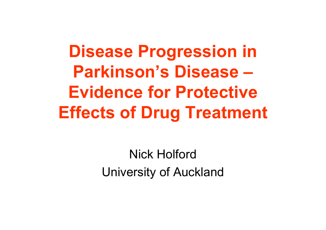**Disease Progression in Parkinson's Disease –Evidence for Protective Effects of Drug Treatment**

> Nick HolfordUniversity of Auckland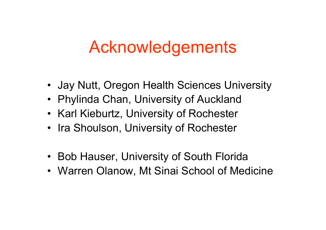# Acknowledgements

- Jay Nutt, Oregon Health Sciences University
- Phylinda Chan, University of Auckland
- Karl Kieburtz, University of Rochester
- Ira Shoulson, University of Rochester
- Bob Hauser, University of South Florida
- Warren Olanow, Mt Sinai School of Medicine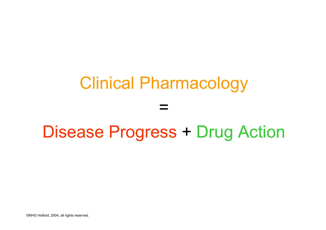# Clinical Pharmacology

=

## Disease Progress + Drug Action

©NHG Holford, 2004, all rights reserved.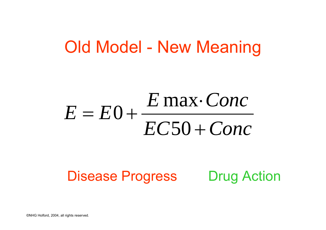### Old Model - New Meaning

#### *EC Conc*  $E = E_0 + \frac{E \max \cdot Cone}{E}$  $\, + \,$ ⋅ $= E 0 +$ 50 max $0 + \frac{2444}{100}$

### Disease Progress Drug Action

©NHG Holford, 2004, all rights reserved.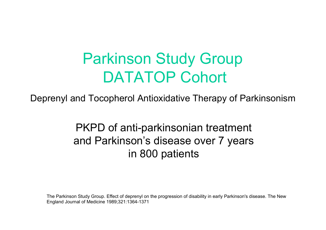### Parkinson Study Group DATATOP Cohort

Deprenyl and Tocopherol Antioxidative Therapy of Parkinsonism

PKPD of anti-parkinsonian treatment and Parkinson's disease over 7 years in 800 patients

The Parkinson Study Group. Effect of deprenyl on the progression of disability in early Parkinson's disease. The New England Journal of Medicine 1989;321:1364-1371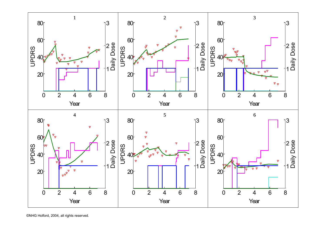

©NHG Holford, 2004, all rights reserved.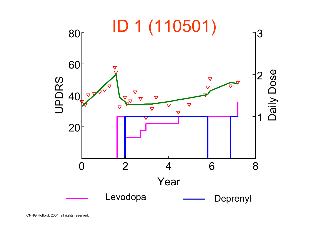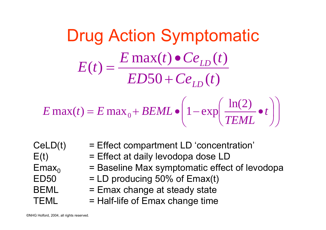Drug Action Symptomatic  $50 + Ce_{LD}(t)$  $max(t) \bullet Ce_{LD}(t)$  $\frac{dE}{dt} = \frac{E}{E}D50 + Ce_{FD}(t)$  $E$  **max**(*t*)  $\bullet$   $Ce$ <sub>*t*D</sub></sub>(*t*) *E t LDLD* +  $\bullet$ = ⎟  $\overline{\phantom{a}}$  $\int$  $\left(1-\exp\left(\frac{\ln(2)}{T_{\text{FMM}}} \bullet t\right)\right)$  $\blacksquare$  $\setminus$  $\left(1-\exp\left(\frac{\ln(2)}{1-\epsilon}\right)\right)$  $\int$  $\left(\frac{\ln(2)}{2} \cdot t\right)$  $\setminus$  $\int$  $= E \max_{\alpha} + BEML \bullet$ — exp| ——<del>—</del> • *t TEML* $E$  max(*t*) =  $E$  max<sub>0</sub> +  $BEML \bullet \Big| 1 - \exp \Big( \frac{\ln(2)}{2} \Big)$  $max(t) = E max_0 + BEML \bullet \left(1 - exp\left(\frac{ln(2)}{EEML}\right)\right)$ 

CeLD(t) BEMLTEML

- = Effect compartment LD 'concentration'
- $E(t)$  = Effect at daily levodopa dose LD
- $Emax<sub>o</sub>$  = Baseline Max symptomatic effect of levodopa
- $ED50 = LD$  producing  $50\%$  of Emax(t)
	- = Emax change at steady state
	- = Half-life of Emax change time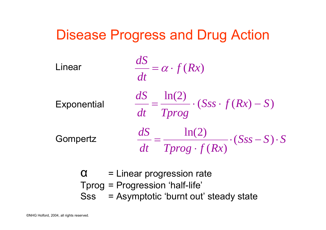

α = Linear progression rate Tprog = Progression 'half-life' Sss = Asymptotic 'burnt out' steady state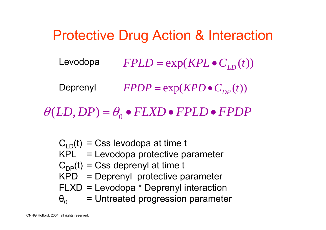#### Protective Drug Action & Interaction  $FPOP = \exp(KPD \bullet C_{DP}(t))$  $=$  exp( $KPD$   $\bullet$  $FPLD = \exp(KPL \bullet C_{LD}(t))$  $=$  exp( $KPL$   $\bullet$ Levodopa Deprenyl

 $LD, DP) = \theta_{_{0}} \bullet FLXD \bullet FPLD \bullet FPDP$  $\theta$ (*LD*, *DP*) =  $\theta$ <sub>(</sub>

- $\rm C_{\rm LD}(t)\,$  = Css levodopa at time t
- KPL = Levodopa protective parameter
- $\mathsf{C}_{\mathsf{DP}}\mathsf{(t)}$  = Css deprenyl at time t
- KPD = Deprenyl protective parameter
- FLXD = Levodopa \* Deprenyl interaction
- $\Theta_{0}$ = Untreated progression parameter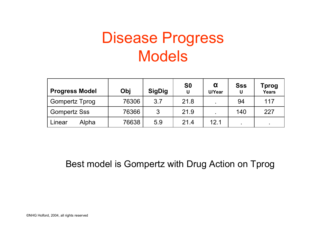## Disease Progress Models

| <b>Progress Model</b> | Obj   | <b>SigDig</b> | S <sub>0</sub><br>U | α<br>U/Year | <b>Sss</b><br>U | Tprog<br><b>Years</b> |
|-----------------------|-------|---------------|---------------------|-------------|-----------------|-----------------------|
| <b>Gompertz Tprog</b> | 76306 | 3.7           | 21.8                |             | 94              | 117                   |
| <b>Gompertz Sss</b>   | 76366 | 3             | 21.9                |             | 140             | 227                   |
| Alpha<br>Linear       | 76638 | 5.9           | 21.4                | 12.1        |                 | $\bullet$             |

Best model is Gompertz with Drug Action on Tprog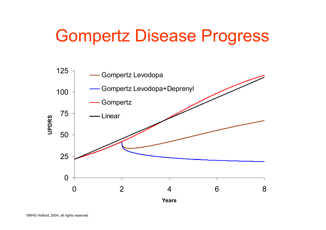# Gompertz Disease Progress

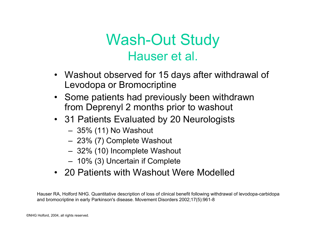### Wash-Out Study Hauser et al.

- Washout observed for 15 days after withdrawal of Levodopa or Bromocriptine
- Some patients had previously been withdrawn from Deprenyl 2 months prior to washout
- 31 Patients Evaluated by 20 Neurologists
	- –35% (11) No Washout
	- 23% (7) Complete Washout
	- –32% (10) Incomplete Washout
	- –10% (3) Uncertain if Complete
- •20 Patients with Washout Were Modelled

Hauser RA, Holford NHG. Quantitative description of loss of clinical benefit following withdrawal of levodopa-carbidopa and bromocripti ne in early Parkinson's disease. Movement Disorders 2002;17(5):961-8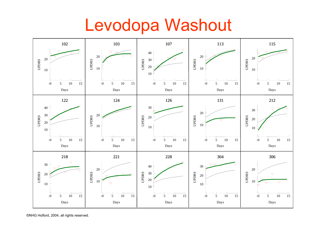## Levodopa Washout

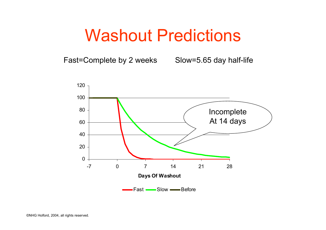### Washout Predictions

Fast=Complete by 2 weeks

Slow=5.65 day half-life

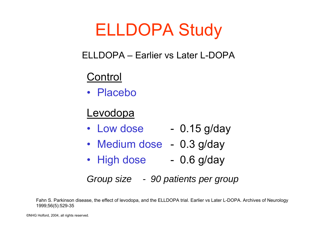# ELLDOPA Study

#### ELLDOPA –Earlier vs Later L-DOPA

### **Control**

• Placebo

### Levodopa

- Low dose 0.15 g/day
- Medium dose 0.3 g/day
- High dose - 0.6 g/day

#### *Group size -90 patients per group*

Fahn S. Parkinson disease, the effect of levodopa, and the ELLDOPA trial. Earlier vs Later L-DOPA. Archives of Neurology 1999;56(5):529-35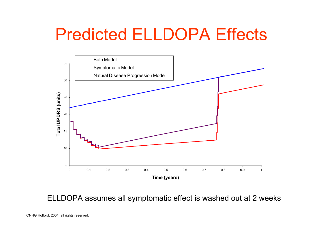# Predicted ELLDOPA Effects



ELLDOPA assumes all symptomatic effect is washed out at 2 weeks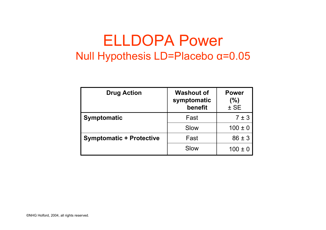### ELLDOPA Power Null Hypothesis LD=Placebo α=0.05

| <b>Drug Action</b>              | <b>Washout of</b><br>symptomatic<br>benefit | <b>Power</b><br>$(%)$<br>$±$ SE |
|---------------------------------|---------------------------------------------|---------------------------------|
| <b>Symptomatic</b>              | Fast                                        | 7±3                             |
|                                 | Slow                                        | $100 \pm 0$                     |
| <b>Symptomatic + Protective</b> | Fast                                        | $86 \pm 3$                      |
|                                 | Slow                                        | $100 \pm 0$                     |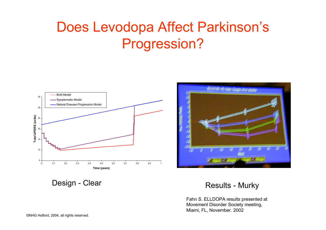### Does Levodopa Affect Parkinson's Progression?





Design - Clear

#### r 1988 - Results - Murky

Fahn S. ELLDOPA results prese nted at Movement Disord er Society meeting, Miami, FL, November. 2002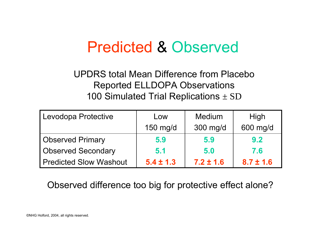### Predicted & Observed

#### UPDRS total Mean Difference from PlaceboReported ELLDOPA Observations 100 Simulated Trial Replications  $\pm$  SD

| Levodopa Protective           | Low           | Medium        | High          |
|-------------------------------|---------------|---------------|---------------|
|                               | 150 mg/d      | 300 mg/d      | 600 mg/d      |
| <b>Observed Primary</b>       | 5.9           | 5.9           | 9.2           |
| <b>Observed Secondary</b>     | 5.1           | 5.0           | 7.6           |
| <b>Predicted Slow Washout</b> | $5.4 \pm 1.3$ | $7.2 \pm 1.6$ | $8.7 \pm 1.6$ |

#### Observed difference too big for protective effect alone?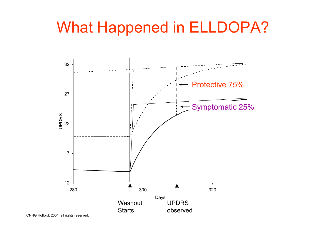### What Happened in ELLDOPA?



©NHG Holford, 2004, all rights reserved.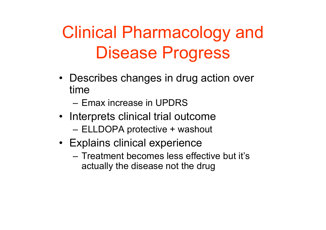# Clinical Pharmacology and Disease Progress

- Describes changes in drug action over time
	- –Emax increase in UPDRS
- Interprets clinical trial outcome
	- ELLDOPA protective + washout
- Explains clinical experience
	- –Treatment becomes less effective but it's actually the disease not the drug